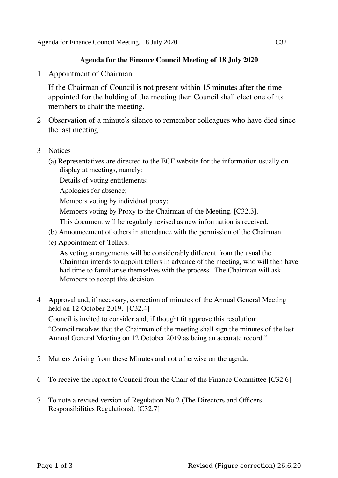## **Agenda for the Finance Council Meeting of 18 July 2020**

1 Appointment of Chairman

If the Chairman of Council is not present within 15 minutes after the time appointed for the holding of the meeting then Council shall elect one of its members to chair the meeting.

- 2 Observation of a minute's silence to remember colleagues who have died since the last meeting
- 3 Notices
	- (a) Representatives are directed to the ECF website for the information usually on display at meetings, namely:
		- Details of voting entitlements;
		- Apologies for absence;
		- Members voting by individual proxy;
		- Members voting by Proxy to the Chairman of the Meeting. [C32.3].
		- This document will be regularly revised as new information is received.
	- (b) Announcement of others in attendance with the permission of the Chairman.
	- (c) Appointment of Tellers.

As voting arrangements will be considerably different from the usual the Chairman intends to appoint tellers in advance of the meeting, who will then have had time to familiarise themselves with the process. The Chairman will ask Members to accept this decision.

4 Approval and, if necessary, correction of minutes of the Annual General Meeting held on 12 October 2019. [C32.4]

Council is invited to consider and, if thought fit approve this resolution: "Council resolves that the Chairman of the meeting shall sign the minutes of the last Annual General Meeting on 12 October 2019 as being an accurate record."

- 5 Matters Arising from these Minutes and not otherwise on the agenda.
- 6 To receive the report to Council from the Chair of the Finance Committee [C32.6]
- 7 To note a revised version of Regulation No 2 (The Directors and Officers Responsibilities Regulations). [C32.7]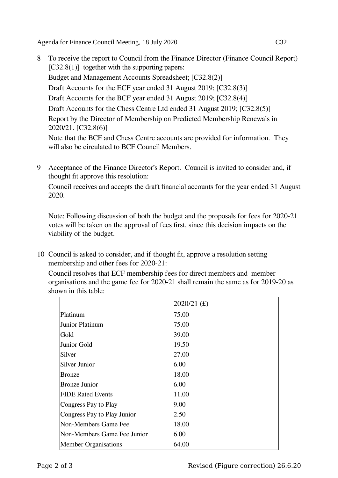Agenda for Finance Council Meeting, 18 July 2020 C32

- 8 To receive the report to Council from the Finance Director (Finance Council Report)  $[C32.8(1)]$  together with the supporting papers: Budget and Management Accounts Spreadsheet; [C32.8(2)] Draft Accounts for the ECF year ended 31 August 2019; [C32.8(3)] Draft Accounts for the BCF year ended 31 August 2019; [C32.8(4)] Draft Accounts for the Chess Centre Ltd ended 31 August 2019; [C32.8(5)] Report by the Director of Membership on Predicted Membership Renewals in 2020/21. [C32.8(6)] Note that the BCF and Chess Centre accounts are provided for information. They will also be circulated to BCF Council Members.
- 9 Acceptance of the Finance Director's Report. Council is invited to consider and, if thought fit approve this resolution:

Council receives and accepts the draft financial accounts for the year ended 31 August 2020.

Note: Following discussion of both the budget and the proposals for fees for 2020-21 votes will be taken on the approval of fees first, since this decision impacts on the viability of the budget.

10 Council is asked to consider, and if thought fit, approve a resolution setting membership and other fees for 2020-21:

Council resolves that ECF membership fees for direct members and member organisations and the game fee for 2020-21 shall remain the same as for 2019-20 as shown in this table:

|                             | $2020/21$ (£) |
|-----------------------------|---------------|
| Platinum                    | 75.00         |
| Junior Platinum             | 75.00         |
| Gold                        | 39.00         |
| Junior Gold                 | 19.50         |
| Silver                      | 27.00         |
| Silver Junior               | 6.00          |
| <b>Bronze</b>               | 18.00         |
| Bronze Junior               | 6.00          |
| <b>FIDE Rated Events</b>    | 11.00         |
| Congress Pay to Play        | 9.00          |
| Congress Pay to Play Junior | 2.50          |
| Non-Members Game Fee        | 18.00         |
| Non-Members Game Fee Junior | 6.00          |
| <b>Member Organisations</b> | 64.00         |